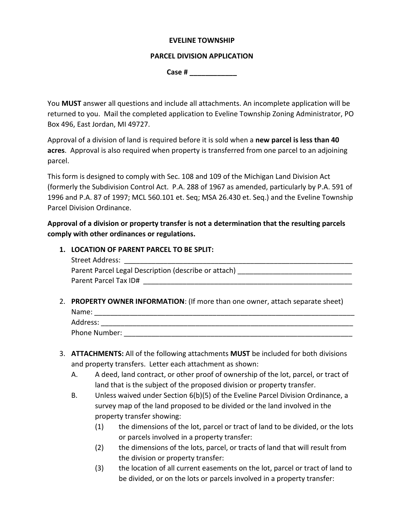## **EVELINE TOWNSHIP**

## **PARCEL DIVISION APPLICATION**

**Case # \_\_\_\_\_\_\_\_\_\_\_\_**

You **MUST** answer all questions and include all attachments. An incomplete application will be returned to you. Mail the completed application to Eveline Township Zoning Administrator, PO Box 496, East Jordan, MI 49727.

Approval of a division of land is required before it is sold when a **new parcel is less than 40 acres**. Approval is also required when property is transferred from one parcel to an adjoining parcel.

This form is designed to comply with Sec. 108 and 109 of the Michigan Land Division Act (formerly the Subdivision Control Act. P.A. 288 of 1967 as amended, particularly by P.A. 591 of 1996 and P.A. 87 of 1997; MCL 560.101 et. Seq; MSA 26.430 et. Seq.) and the Eveline Township Parcel Division Ordinance.

**Approval of a division or property transfer is not a determination that the resulting parcels comply with other ordinances or regulations.**

## **1. LOCATION OF PARENT PARCEL TO BE SPLIT:**

| Street Address:                                      |
|------------------------------------------------------|
| Parent Parcel Legal Description (describe or attach) |
| Parent Parcel Tax ID#                                |

2. **PROPERTY OWNER INFORMATION**: (If more than one owner, attach separate sheet) Name: Address:

Phone Number:

- 3. **ATTACHMENTS:** All of the following attachments **MUST** be included for both divisions and property transfers. Letter each attachment as shown:
	- A. A deed, land contract, or other proof of ownership of the lot, parcel, or tract of land that is the subject of the proposed division or property transfer.
	- B. Unless waived under Section 6(b)(5) of the Eveline Parcel Division Ordinance, a survey map of the land proposed to be divided or the land involved in the property transfer showing:
		- (1) the dimensions of the lot, parcel or tract of land to be divided, or the lots or parcels involved in a property transfer:
		- (2) the dimensions of the lots, parcel, or tracts of land that will result from the division or property transfer:
		- (3) the location of all current easements on the lot, parcel or tract of land to be divided, or on the lots or parcels involved in a property transfer: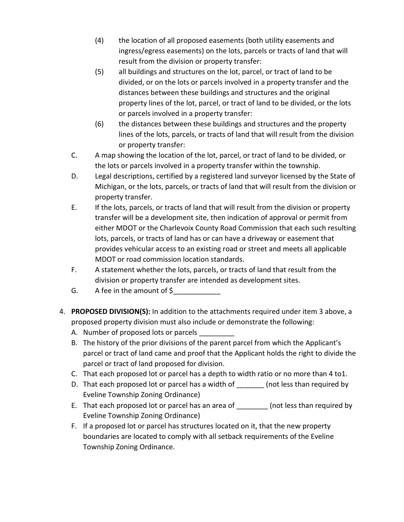- (4) the location of all proposed easements (both utility easements and ingress/egress easements) on the lots, parcels or tracts of land that will result from the division or property transfer:
- (5) all buildings and structures on the lot, parcel, or tract of land to be divided, or on the lots or parcels involved in a property transfer and the distances between these buildings and structures and the original property lines of the lot, parcel, or tract of land to be divided, or the lots or parcels involved in a property transfer:
- (6) the distances between these buildings and structures and the property lines of the lots, parcels, or tracts of land that will result from the division or property transfer:
- C. A map showing the location of the lot, parcel, or tract of land to be divided, or the lots or parcels involved in a property transfer within the township.
- D. Legal descriptions, certified by a registered land surveyor licensed by the State of Michigan, or the lots, parcels, or tracts of land that will result from the division or property transfer.
- E. If the lots, parcels, or tracts of land that will result from the division or property transfer will be a development site, then indication of approval or permit from either MDOT or the Charlevoix County Road Commission that each such resulting lots, parcels, or tracts of land has or can have a driveway or easement that provides vehicular access to an existing road or street and meets all applicable MDOT or road commission location standards.
- F. A statement whether the lots, parcels, or tracts of land that result from the division or property transfer are intended as development sites.
- G. A fee in the amount of \$\_\_\_\_\_\_\_\_\_\_\_\_
- 4. **PROPOSED DIVISION(S):** In addition to the attachments required under item 3 above, a proposed property division must also include or demonstrate the following:
	- A. Number of proposed lots or parcels
	- B. The history of the prior divisions of the parent parcel from which the Applicant's parcel or tract of land came and proof that the Applicant holds the right to divide the parcel or tract of land proposed for division.
	- C. That each proposed lot or parcel has a depth to width ratio or no more than 4 to1.
	- D. That each proposed lot or parcel has a width of [100] (not less than required by Eveline Township Zoning Ordinance)
	- E. That each proposed lot or parcel has an area of \_\_\_\_\_\_\_\_ (not less than required by Eveline Township Zoning Ordinance)
	- F. If a proposed lot or parcel has structures located on it, that the new property boundaries are located to comply with all setback requirements of the Eveline Township Zoning Ordinance.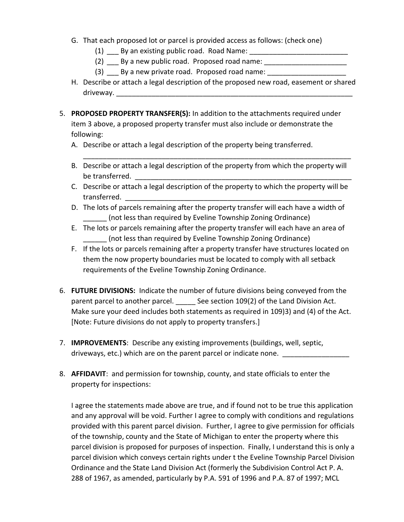- G. That each proposed lot or parcel is provided access as follows: (check one)
	- (1) By an existing public road. Road Name:
	- $(2)$  By a new public road. Proposed road name:
	- $(3)$  By a new private road. Proposed road name:
- H. Describe or attach a legal description of the proposed new road, easement or shared driveway.
- 5. **PROPOSED PROPERTY TRANSFER(S):** In addition to the attachments required under item 3 above, a proposed property transfer must also include or demonstrate the following:
	- A. Describe or attach a legal description of the property being transferred.
	- B. Describe or attach a legal description of the property from which the property will be transferred.

\_\_\_\_\_\_\_\_\_\_\_\_\_\_\_\_\_\_\_\_\_\_\_\_\_\_\_\_\_\_\_\_\_\_\_\_\_\_\_\_\_\_\_\_\_\_\_\_\_\_\_\_\_\_\_\_\_\_\_\_\_\_\_\_\_\_\_\_

- C. Describe or attach a legal description of the property to which the property will be transferred.
- D. The lots of parcels remaining after the property transfer will each have a width of (not less than required by Eveline Township Zoning Ordinance)
- E. The lots or parcels remaining after the property transfer will each have an area of \_\_\_\_\_\_ (not less than required by Eveline Township Zoning Ordinance)
- F. If the lots or parcels remaining after a property transfer have structures located on them the now property boundaries must be located to comply with all setback requirements of the Eveline Township Zoning Ordinance.
- 6. **FUTURE DIVISIONS:** Indicate the number of future divisions being conveyed from the parent parcel to another parcel. See section 109(2) of the Land Division Act. Make sure your deed includes both statements as required in 109)3) and (4) of the Act. [Note: Future divisions do not apply to property transfers.]
- 7. **IMPROVEMENTS**: Describe any existing improvements (buildings, well, septic, driveways, etc.) which are on the parent parcel or indicate none. \_\_\_\_\_\_\_\_\_\_\_\_\_\_
- 8. **AFFIDAVIT**: and permission for township, county, and state officials to enter the property for inspections:

I agree the statements made above are true, and if found not to be true this application and any approval will be void. Further I agree to comply with conditions and regulations provided with this parent parcel division. Further, I agree to give permission for officials of the township, county and the State of Michigan to enter the property where this parcel division is proposed for purposes of inspection. Finally, I understand this is only a parcel division which conveys certain rights under t the Eveline Township Parcel Division Ordinance and the State Land Division Act (formerly the Subdivision Control Act P. A. 288 of 1967, as amended, particularly by P.A. 591 of 1996 and P.A. 87 of 1997; MCL